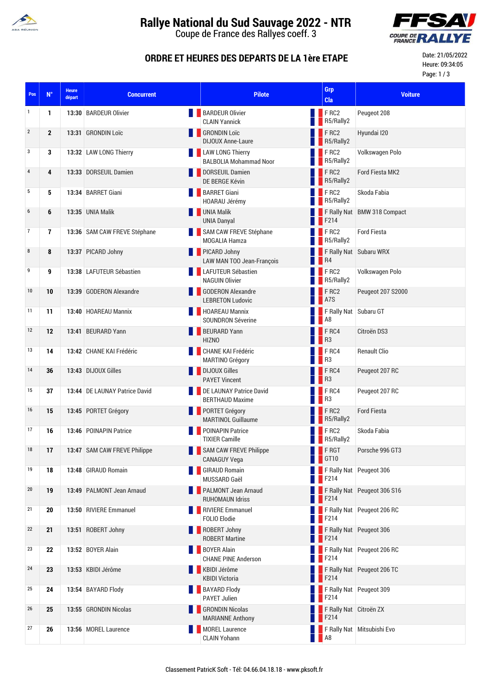

# **Rallye National du Sud Sauvage 2022 - NTR**

Coupe de France des Rallyes coeff. 3



### **ORDRE ET HEURES DES DEPARTS DE LA 1ère ETAPE**

Date: 21/05/2022 Heure: 09:34:05 Page: 1 / 3

| Pos        | $N^{\circ}$  | <b>Heure</b><br>départ | <b>Concurrent</b>             | <b>Pilote</b>                                            |                   | Grp<br>Cla                                    | <b>Voiture</b>              |
|------------|--------------|------------------------|-------------------------------|----------------------------------------------------------|-------------------|-----------------------------------------------|-----------------------------|
| 1          | 1            |                        | 13:30 BARDEUR Olivier         | <b>BARDEUR Olivier</b><br><b>CLAIN Yannick</b>           |                   | <b>FRC2</b><br>R5/Rally2                      | Peugeot 208                 |
| $\sqrt{2}$ | $\mathbf{2}$ |                        | 13:31 GRONDIN Loïc            | <b>GRONDIN Loïc</b><br><b>DIJOUX Anne-Laure</b>          |                   | <b>FRC2</b><br>R5/Rally2                      | Hyundai I20                 |
| 3          | 3            |                        | 13:32 LAW LONG Thierry        | <b>LAW LONG Thierry</b><br><b>BALBOLIA Mohammad Noor</b> |                   | FRC2<br>R5/Rally2                             | Volkswagen Polo             |
| 4          | 4            |                        | 13:33 DORSEUIL Damien         | DORSEUIL Damien<br>DE BERGE Kévin                        |                   | <b>FRC2</b><br><b>B</b> R5/Rally2             | <b>Ford Fiesta MK2</b>      |
| 5          | 5            |                        | 13:34 BARRET Giani            | <b>BARRET Giani</b><br>HOARAU Jérémy                     |                   | <b>FRC2</b><br>R5/Rally2                      | Skoda Fabia                 |
| 6          | 6            |                        | 13:35 UNIA Malik              | <b>UNIA Malik</b><br><b>UNIA Danyal</b>                  |                   | $\blacksquare$ F214                           | F Rally Nat BMW 318 Compact |
| 7          | 7            |                        | 13:36 SAM CAW FREVE Stéphane  | SAM CAW FREVE Stéphane<br><b>MOGALIA Hamza</b>           |                   | FRC2<br>R5/Rally2                             | <b>Ford Fiesta</b>          |
| 8          | 8            |                        | 13:37 PICARD Johny            | PICARD Johny<br><b>LAW MAN TOO Jean-François</b>         | $\blacksquare$ R4 |                                               | F Rally Nat Subaru WRX      |
| 9          | 9            |                        | 13:38 LAFUTEUR Sébastien      | LAFUTEUR Sébastien<br><b>NAGUIN Olivier</b>              |                   | $\blacksquare$ FRC2<br>R5/Rally2              | Volkswagen Polo             |
| 10         | 10           |                        | 13:39 GODERON Alexandre       | <b>CODERON Alexandre</b><br><b>LEBRETON Ludovic</b>      |                   | FRC2<br><b>A</b> 7S                           | Peugeot 207 S2000           |
| 11         | 11           |                        | 13:40 HOAREAU Mannix          | <b>HOAREAU Mannix</b><br><b>SOUNDRON Séverine</b>        |                   | F Rally Nat Subaru GT<br><b>A8</b>            |                             |
| 12         | 12           |                        | 13:41 BEURARD Yann            | BEURARD Yann<br><b>HIZNO</b>                             | $\blacksquare$ R3 | FRC4                                          | Citroën DS3                 |
| 13         | 14           |                        | 13:42 CHANE KAI Frédéric      | CHANE KAI Frédéric<br><b>MARTINO Grégory</b>             |                   | FRC4<br>R <sub>3</sub>                        | <b>Renault Clio</b>         |
| 14         | 36           |                        | 13:43 DIJOUX Gilles           | DIJOUX Gilles<br><b>PAYET Vincent</b>                    |                   | FRC4<br><b>B</b> R3                           | Peugeot 207 RC              |
| 15         | 37           |                        | 13:44 DE LAUNAY Patrice David | DE LAUNAY Patrice David<br><b>BERTHAUD Maxime</b>        |                   | $F$ RC4<br>R <sub>3</sub>                     | Peugeot 207 RC              |
| 16         | 15           |                        | 13:45 PORTET Grégory          | <b>PORTET Grégory</b><br><b>MARTINOL Guillaume</b>       |                   | FRC2<br>R5/Rally2                             | <b>Ford Fiesta</b>          |
| 17         | 16           |                        | 13:46 POINAPIN Patrice        | POINAPIN Patrice<br><b>TIXIER Camille</b>                |                   | FRC2<br>R5/Rally2                             | Skoda Fabia                 |
| 18         | 17           |                        | 13:47 SAM CAW FREVE Philippe  | <b>SAM CAW FREVE Philippe</b><br><b>CANAGUY Vega</b>     |                   | FRGT<br>$\blacksquare$ GT10                   | Porsche 996 GT3             |
| 19         | 18           |                        | 13:48 GIRAUD Romain           | <b>GIRAUD Romain</b><br>MUSSARD Gaël                     |                   | $\blacksquare$ F214                           | F Rally Nat Peugeot 306     |
| 20         | 19           |                        | 13:49 PALMONT Jean Arnaud     | <b>PALMONT Jean Arnaud</b><br><b>RUHOMAUN Idriss</b>     |                   | $\blacksquare$ F214                           | F Rally Nat Peugeot 306 S16 |
| 21         | 20           |                        | 13:50 RIVIERE Emmanuel        | RIVIERE Emmanuel<br><b>FOLIO Elodie</b>                  |                   | $\blacksquare$ F214                           | F Rally Nat Peugeot 206 RC  |
| 22         | 21           |                        | 13:51 ROBERT Johny            | ROBERT Johny<br><b>ROBERT Martine</b>                    |                   | $\blacksquare$ F214                           | F Rally Nat Peugeot 306     |
| 23         | 22           |                        | 13:52 BOYER Alain             | <b>BOYER Alain</b><br><b>CHANE PINE Anderson</b>         |                   | $\blacksquare$ F214                           | F Rally Nat Peugeot 206 RC  |
| 24         | 23           |                        | 13:53 KBIDI Jérôme            | KBIDI Jérôme<br><b>KBIDI Victoria</b>                    |                   | $\blacksquare$ F214                           | F Rally Nat Peugeot 206 TC  |
| 25         | 24           |                        | 13:54 BAYARD Flody            | <b>BAYARD Flody</b><br><b>PAYET Julien</b>               |                   | $\blacksquare$ F214                           | F Rally Nat Peugeot 309     |
| 26         | 25           |                        | 13:55 GRONDIN Nicolas         | <b>GRONDIN Nicolas</b><br><b>MARIANNE Anthony</b>        |                   | F Rally Nat Citroën ZX<br>$\blacksquare$ F214 |                             |
| 27         | 26           |                        | 13:56 MOREL Laurence          | <b>MOREL Laurence</b><br><b>CLAIN Yohann</b>             | <b>A8</b>         |                                               | F Rally Nat Mitsubishi Evo  |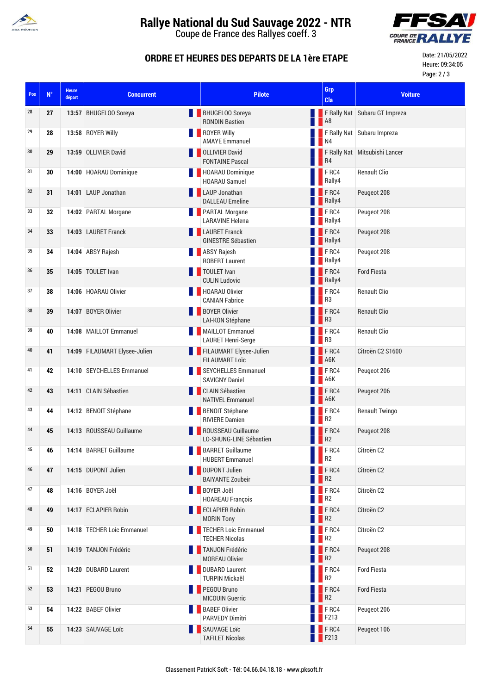

# **Rallye National du Sud Sauvage 2022 - NTR**

Coupe de France des Rallyes coeff. 3



### **ORDRE ET HEURES DES DEPARTS DE LA 1ère ETAPE**

Date: 21/05/2022 Heure: 09:34:05 Page: 2 / 3

| Pos | $N^{\circ}$ | <b>Heure</b><br>départ | <b>Concurrent</b>             | <b>Pilote</b>                                     |           | Grp<br>Cla                              | <b>Voiture</b>                |
|-----|-------------|------------------------|-------------------------------|---------------------------------------------------|-----------|-----------------------------------------|-------------------------------|
| 28  | 27          |                        | 13:57 BHUGELOO Soreya         | BHUGELOO Soreya<br><b>RONDIN Bastien</b>          | <b>NO</b> |                                         | F Rally Nat Subaru GT Impreza |
| 29  | 28          |                        | 13:58 ROYER Willy             | ROYER Willy<br><b>AMAYE Emmanuel</b>              |           | $\blacksquare$ N4                       | F Rally Nat Subaru Impreza    |
| 30  | 29          |                        | 13:59 OLLIVIER David          | <b>OLLIVIER David</b><br><b>FONTAINE Pascal</b>   |           | R <sub>4</sub>                          | F Rally Nat Mitsubishi Lancer |
| 31  | 30          |                        | 14:00 HOARAU Dominique        | HOARAU Dominique<br><b>HOARAU Samuel</b>          |           | F <sub>RC4</sub><br>Rally4              | <b>Renault Clio</b>           |
| 32  | 31          |                        | 14:01 LAUP Jonathan           | <b>LAUP Jonathan</b><br><b>DALLEAU Emeline</b>    |           | <b>FRC4</b><br><b>Rally4</b>            | Peugeot 208                   |
| 33  | 32          |                        | 14:02 PARTAL Morgane          | <b>PARTAL Morgane</b><br><b>LARAVINE Helena</b>   |           | $F$ RC4<br>Rally4                       | Peugeot 208                   |
| 34  | 33          |                        | 14:03 LAURET Franck           | <b>LAURET Franck</b><br><b>GINESTRE Sébastien</b> |           | FRC4<br>Rally4                          | Peugeot 208                   |
| 35  | 34          |                        | 14:04 ABSY Rajesh             | <b>ABSY Rajesh</b><br><b>ROBERT Laurent</b>       |           | $F$ RC4<br>Rally4                       | Peugeot 208                   |
| 36  | 35          |                        | 14:05 TOULET Ivan             | TOULET Ivan<br><b>CULIN Ludovic</b>               |           | FRC4<br><b>Nally4</b>                   | <b>Ford Fiesta</b>            |
| 37  | 38          |                        | 14:06 HOARAU Olivier          | HOARAU Olivier<br><b>CANIAN Fabrice</b>           |           | FRC4<br>R <sub>3</sub>                  | <b>Renault Clio</b>           |
| 38  | 39          |                        | 14:07 BOYER Olivier           | <b>BOYER Olivier</b><br>LAI-KON Stéphane          |           | $F$ <sub>RC4</sub><br>$\blacksquare$ R3 | <b>Renault Clio</b>           |
| 39  | 40          |                        | 14:08 MAILLOT Emmanuel        | MAILLOT Emmanuel<br><b>LAURET Henri-Serge</b>     |           | $F$ RC4<br>R <sup>3</sup>               | <b>Renault Clio</b>           |
| 40  | 41          |                        | 14:09 FILAUMART Elysee-Julien | FILAUMART Elysee-Julien<br><b>FILAUMART Loïc</b>  |           | $F$ <sub>RC4</sub><br>A6K               | Citroën C2 S1600              |
| 41  | 42          |                        | 14:10 SEYCHELLES Emmanuel     | SEYCHELLES Emmanuel<br><b>SAVIGNY Daniel</b>      |           | F <sub>RC4</sub><br>A6K                 | Peugeot 206                   |
| 42  | 43          |                        | 14:11 CLAIN Sébastien         | CLAIN Sébastien<br><b>NATIVEL Emmanuel</b>        |           | FRC4<br>A6K                             | Peugeot 206                   |
| 43  | 44          |                        | 14:12 BENOIT Stéphane         | <b>BENOIT Stéphane</b><br><b>RIVIERE Damien</b>   |           | FRC4<br>R <sub>2</sub>                  | <b>Renault Twingo</b>         |
| 44  | 45          |                        | 14:13 ROUSSEAU Guillaume      | ROUSSEAU Guillaume<br>LO-SHUNG-LINE Sébastien     |           | FRC4<br>R <sub>2</sub>                  | Peugeot 208                   |
| 45  | 46          |                        | 14:14 BARRET Guillaume        | <b>BARRET Guillaume</b><br><b>HUBERT Emmanuel</b> |           | $F$ RC4<br>R <sub>2</sub>               | Citroën C <sub>2</sub>        |
| 46  | 47          |                        | 14:15 DUPONT Julien           | <b>DUPONT Julien</b><br><b>BAIYANTE Zoubeir</b>   |           | FRC4<br>R <sub>2</sub>                  | Citroën C <sub>2</sub>        |
| 47  | 48          |                        | 14:16 BOYER Joël              | <b>BOYER Joël</b><br><b>HOAREAU François</b>      |           | FRC4<br>R <sub>2</sub>                  | Citroën C2                    |
| 48  | 49          |                        | 14:17 ECLAPIER Robin          | <b>ECLAPIER Robin</b><br><b>MORIN Tony</b>        |           | FRC4<br>R <sub>2</sub>                  | Citroën C2                    |
| 49  | 50          |                        | 14:18 TECHER Loic Emmanuel    | TECHER Loic Emmanuel<br><b>TECHER Nicolas</b>     |           | F <sub>RC4</sub><br>R <sub>2</sub>      | Citroën C2                    |
| 50  | 51          |                        | 14:19 TANJON Frédéric         | TANJON Frédéric<br><b>MOREAU Olivier</b>          |           | $F$ RC4<br>R <sup>2</sup>               | Peugeot 208                   |
| 51  | 52          |                        | 14:20 DUBARD Laurent          | <b>DUBARD Laurent</b><br><b>TURPIN Mickaël</b>    |           | $F$ RC4<br>R <sub>2</sub>               | <b>Ford Fiesta</b>            |
| 52  | 53          |                        | 14:21 PEGOU Bruno             | PEGOU Bruno<br><b>MICOUIN Guerric</b>             |           | FRC4<br>R <sub>2</sub>                  | <b>Ford Fiesta</b>            |
| 53  | 54          |                        | 14:22 BABEF Olivier           | <b>BABEF Olivier</b><br><b>PARVEDY Dimitri</b>    |           | $F$ RC4<br>F213                         | Peugeot 206                   |
| 54  | 55          |                        | 14:23 SAUVAGE Loïc            | SAUVAGE Loïc<br><b>TAFILET Nicolas</b>            |           | $F$ RC4<br>F213                         | Peugeot 106                   |